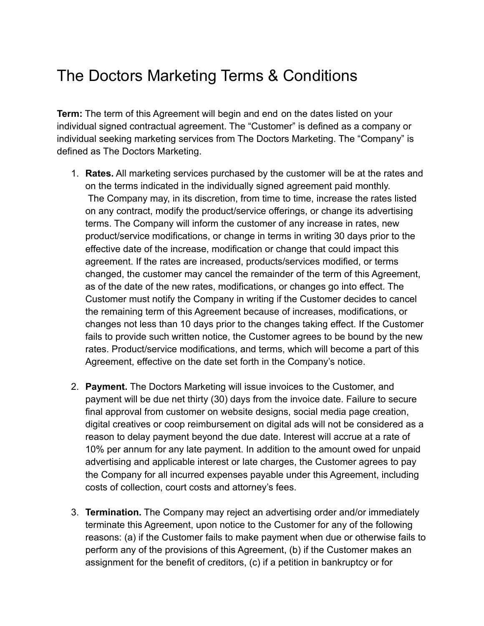## The Doctors Marketing Terms & Conditions

**Term:** The term of this Agreement will begin and end on the dates listed on your individual signed contractual agreement. The "Customer" is defined as a company or individual seeking marketing services from The Doctors Marketing. The "Company" is defined as The Doctors Marketing.

- 1. **Rates.** All marketing services purchased by the customer will be at the rates and on the terms indicated in the individually signed agreement paid monthly. The Company may, in its discretion, from time to time, increase the rates listed on any contract, modify the product/service offerings, or change its advertising terms. The Company will inform the customer of any increase in rates, new product/service modifications, or change in terms in writing 30 days prior to the effective date of the increase, modification or change that could impact this agreement. If the rates are increased, products/services modified, or terms changed, the customer may cancel the remainder of the term of this Agreement, as of the date of the new rates, modifications, or changes go into effect. The Customer must notify the Company in writing if the Customer decides to cancel the remaining term of this Agreement because of increases, modifications, or changes not less than 10 days prior to the changes taking effect. If the Customer fails to provide such written notice, the Customer agrees to be bound by the new rates. Product/service modifications, and terms, which will become a part of this Agreement, effective on the date set forth in the Company's notice.
- 2. **Payment.** The Doctors Marketing will issue invoices to the Customer, and payment will be due net thirty (30) days from the invoice date. Failure to secure final approval from customer on website designs, social media page creation, digital creatives or coop reimbursement on digital ads will not be considered as a reason to delay payment beyond the due date. Interest will accrue at a rate of 10% per annum for any late payment. In addition to the amount owed for unpaid advertising and applicable interest or late charges, the Customer agrees to pay the Company for all incurred expenses payable under this Agreement, including costs of collection, court costs and attorney's fees.
- 3. **Termination.** The Company may reject an advertising order and/or immediately terminate this Agreement, upon notice to the Customer for any of the following reasons: (a) if the Customer fails to make payment when due or otherwise fails to perform any of the provisions of this Agreement, (b) if the Customer makes an assignment for the benefit of creditors, (c) if a petition in bankruptcy or for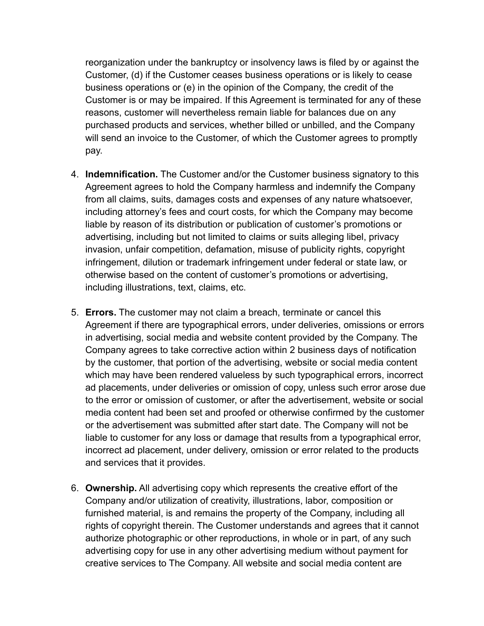reorganization under the bankruptcy or insolvency laws is filed by or against the Customer, (d) if the Customer ceases business operations or is likely to cease business operations or (e) in the opinion of the Company, the credit of the Customer is or may be impaired. If this Agreement is terminated for any of these reasons, customer will nevertheless remain liable for balances due on any purchased products and services, whether billed or unbilled, and the Company will send an invoice to the Customer, of which the Customer agrees to promptly pay.

- 4. **Indemnification.** The Customer and/or the Customer business signatory to this Agreement agrees to hold the Company harmless and indemnify the Company from all claims, suits, damages costs and expenses of any nature whatsoever, including attorney's fees and court costs, for which the Company may become liable by reason of its distribution or publication of customer's promotions or advertising, including but not limited to claims or suits alleging libel, privacy invasion, unfair competition, defamation, misuse of publicity rights, copyright infringement, dilution or trademark infringement under federal or state law, or otherwise based on the content of customer's promotions or advertising, including illustrations, text, claims, etc.
- 5. **Errors.** The customer may not claim a breach, terminate or cancel this Agreement if there are typographical errors, under deliveries, omissions or errors in advertising, social media and website content provided by the Company. The Company agrees to take corrective action within 2 business days of notification by the customer, that portion of the advertising, website or social media content which may have been rendered valueless by such typographical errors, incorrect ad placements, under deliveries or omission of copy, unless such error arose due to the error or omission of customer, or after the advertisement, website or social media content had been set and proofed or otherwise confirmed by the customer or the advertisement was submitted after start date. The Company will not be liable to customer for any loss or damage that results from a typographical error, incorrect ad placement, under delivery, omission or error related to the products and services that it provides.
- 6. **Ownership.** All advertising copy which represents the creative effort of the Company and/or utilization of creativity, illustrations, labor, composition or furnished material, is and remains the property of the Company, including all rights of copyright therein. The Customer understands and agrees that it cannot authorize photographic or other reproductions, in whole or in part, of any such advertising copy for use in any other advertising medium without payment for creative services to The Company. All website and social media content are